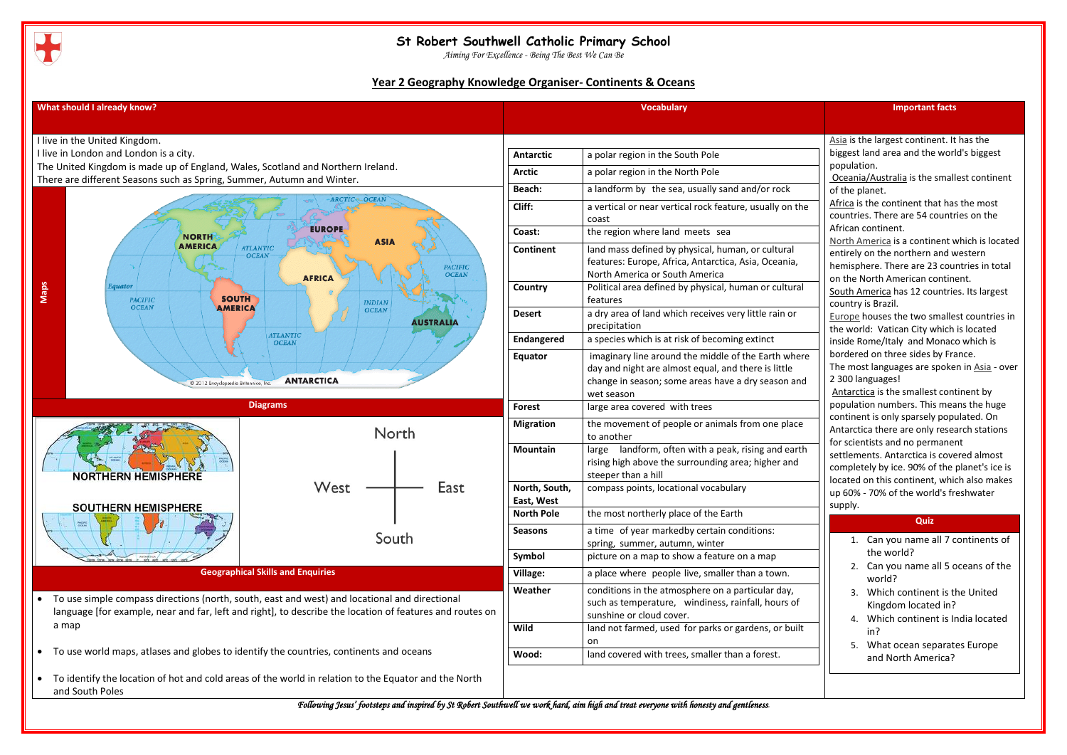

*Aiming For Excellence - Being The Best We Can Be*

*Following Jesus' footsteps and inspired by St Robert Southwell we work hard, aim high and treat everyone with honesty and gentleness.*

## **Year 2 Geography Knowledge Organiser- Continents & Oceans**



| <b>Important facts</b>                                                                                                                                                                                                                                                                                                                                                                                                                                                                                                                                                                                                                                                                                                                                                                                                                                                                                                                                                                                                                                                                                                                                                                                     |
|------------------------------------------------------------------------------------------------------------------------------------------------------------------------------------------------------------------------------------------------------------------------------------------------------------------------------------------------------------------------------------------------------------------------------------------------------------------------------------------------------------------------------------------------------------------------------------------------------------------------------------------------------------------------------------------------------------------------------------------------------------------------------------------------------------------------------------------------------------------------------------------------------------------------------------------------------------------------------------------------------------------------------------------------------------------------------------------------------------------------------------------------------------------------------------------------------------|
|                                                                                                                                                                                                                                                                                                                                                                                                                                                                                                                                                                                                                                                                                                                                                                                                                                                                                                                                                                                                                                                                                                                                                                                                            |
| Asia is the largest continent. It has the<br>biggest land area and the world's biggest<br>population.<br>Oceania/Australia is the smallest continent<br>of the planet.<br>Africa is the continent that has the most<br>countries. There are 54 countries on the<br>African continent.<br>North America is a continent which is located<br>entirely on the northern and western<br>hemisphere. There are 23 countries in total<br>on the North American continent.<br>South America has 12 countries. Its largest<br>country is Brazil.<br>Europe houses the two smallest countries in<br>the world: Vatican City which is located<br>inside Rome/Italy and Monaco which is<br>bordered on three sides by France.<br>The most languages are spoken in Asia - over<br>2 300 languages!<br>Antarctica is the smallest continent by<br>population numbers. This means the huge<br>continent is only sparsely populated. On<br>Antarctica there are only research stations<br>for scientists and no permanent<br>settlements. Antarctica is covered almost<br>completely by ice. 90% of the planet's ice is<br>located on this continent, which also makes<br>up 60% - 70% of the world's freshwater<br>supply. |
| Quiz                                                                                                                                                                                                                                                                                                                                                                                                                                                                                                                                                                                                                                                                                                                                                                                                                                                                                                                                                                                                                                                                                                                                                                                                       |
| Can you name all 7 continents of<br>1.<br>the world?                                                                                                                                                                                                                                                                                                                                                                                                                                                                                                                                                                                                                                                                                                                                                                                                                                                                                                                                                                                                                                                                                                                                                       |
| Can you name all 5 oceans of the<br>2.<br>world?                                                                                                                                                                                                                                                                                                                                                                                                                                                                                                                                                                                                                                                                                                                                                                                                                                                                                                                                                                                                                                                                                                                                                           |
| Which continent is the United<br>3.<br>Kingdom located in?                                                                                                                                                                                                                                                                                                                                                                                                                                                                                                                                                                                                                                                                                                                                                                                                                                                                                                                                                                                                                                                                                                                                                 |
| Which continent is India located<br>4.<br>in?                                                                                                                                                                                                                                                                                                                                                                                                                                                                                                                                                                                                                                                                                                                                                                                                                                                                                                                                                                                                                                                                                                                                                              |
| What ocean separates Europe<br>5.<br>and North America?                                                                                                                                                                                                                                                                                                                                                                                                                                                                                                                                                                                                                                                                                                                                                                                                                                                                                                                                                                                                                                                                                                                                                    |
|                                                                                                                                                                                                                                                                                                                                                                                                                                                                                                                                                                                                                                                                                                                                                                                                                                                                                                                                                                                                                                                                                                                                                                                                            |